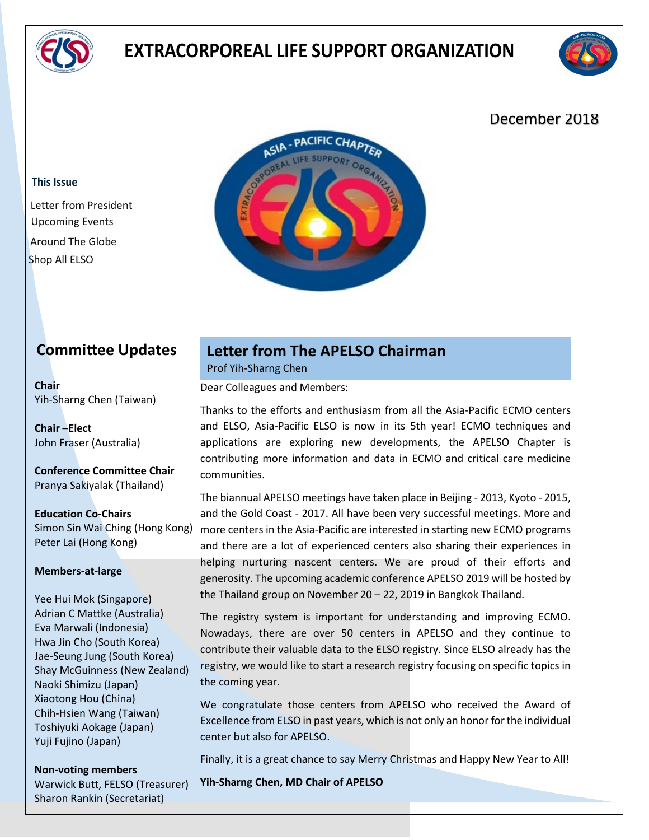

# **EXTRACORPOREAL LIFE SUPPORT ORGANIZATION**



### December 2018

#### **This Issue**

Letter from President Upcoming Events Around The Globe Shop All ELSO

### **Commitee Updates**

**Chair** Yih-Sharng Chen (Taiwan)

**Chair –Elect** John Fraser (Australia)

**Conference Committee Chair** Pranya Sakiyalak (Thailand)

**Education Co-Chairs** Simon Sin Wai Ching (Hong Kong) Peter Lai (Hong Kong)

#### **Members-at-large**

Yee Hui Mok (Singapore) Adrian C Mattke (Australia) Eva Marwali (Indonesia) Hwa Jin Cho (South Korea) Jae-Seung Jung (South Korea) Shay McGuinness (New Zealand) Naoki Shimizu (Japan) Xiaotong Hou (China) Chih-Hsien Wang (Taiwan) Toshiyuki Aokage (Japan) Yuji Fujino (Japan)

**Non-voting members** Warwick Butt, FELSO (Treasurer) Sharon Rankin (Secretariat)

### **Letter from The APELSO Chairman**

Prof Yih-Sharng Chen

Dear Colleagues and Members:

Thanks to the efforts and enthusiasm from all the Asia-Pacific ECMO centers and ELSO, Asia-Pacific ELSO is now in its 5th year! ECMO techniques and applications are exploring new developments, the APELSO Chapter is contributing more information and data in ECMO and critical care medicine communities.

The biannual APELSO meetings have taken place in Beijing - 2013, Kyoto - 2015, and the Gold Coast - 2017. All have been very successful meetings. More and more centers in the Asia-Pacific are interested in starting new ECMO programs and there are a lot of experienced centers also sharing their experiences in helping nurturing nascent centers. We are proud of their efforts and generosity. The upcoming academic conference APELSO 2019 will be hosted by the Thailand group on November 20 – 22, 2019 in Bangkok Thailand.

The registry system is important for understanding and improving ECMO. Nowadays, there are over 50 centers in APELSO and they continue to contribute their valuable data to the ELSO registry. Since ELSO already has the registry, we would like to start a research registry focusing on specific topics in the coming year.

We congratulate those centers from APELSO who received the Award of Excellence from ELSO in past years, which is not only an honor for the individual center but also for APELSO.

Finally, it is a great chance to say Merry Christmas and Happy New Year to All!

**Yih-Sharng Chen, MD Chair of APELSO**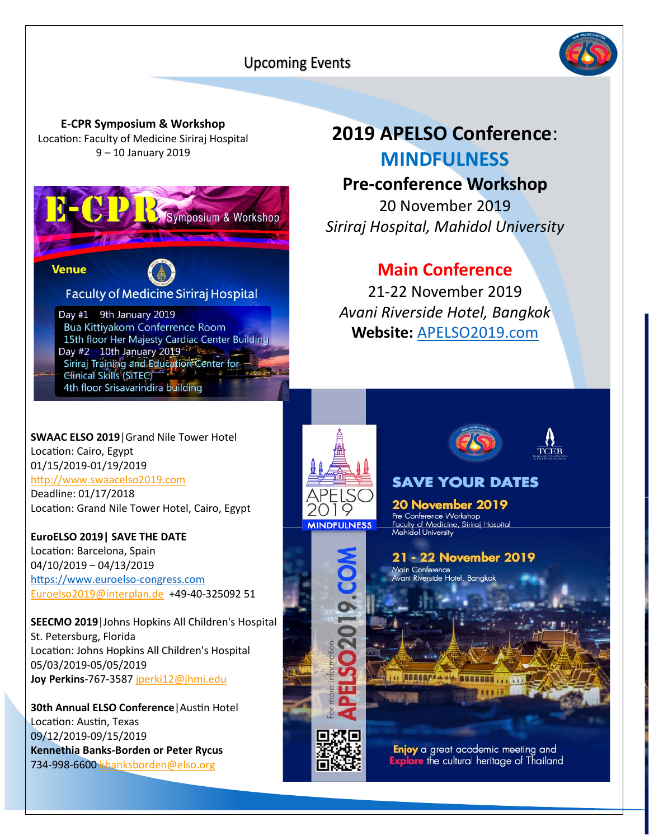### **Upcoming Events**



**E-CPR Symposium & Workshop** Location: Faculty of Medicine Siriraj Hospital 9 – 10 January 2019



# **2019 APELSO Conference**: **MINDFULNESS**

## **Pre-conference Workshop**

20 November 2019 *Siriraj Hospital, Mahidol University*

### **Main Conference**

21-22 November 2019 *Avani Riverside Hotel, Bangkok* **Website:** [APELSO2019.com](http://apelso2019.com/)

**SWAAC ELSO 2019**|Grand Nile Tower Hotel Location: Cairo, Egypt 01/15/2019-01/19/2019 htp://www.swaacelso2019.com

Deadline: 01/17/2018 Location: Grand Nile Tower Hotel, Cairo, Egypt

**EuroELSO 2019| SAVE THE DATE** Location: Barcelona, Spain 04/10/2019 – 04/13/2019 [htps://www.euroelso](https://www.euroelso-congress.com/)-congress.com Euroelso2019@interplan.de +49-40-325092 51

**SEECMO 2019**|Johns Hopkins All Children's Hospital St. Petersburg, Florida Location: Johns Hopkins All Children's Hospital 05/03/2019-05/05/2019 **Joy Perkins**-767-3587 jperki12@jhmi.edu

**30th Annual ELSO Conference | Austin Hotel** Location: Austin, Texas 09/12/2019-09/15/2019 **Kennethia Banks-Borden or Peter Rycus** 734-998-6600 kbanksborden@elso.org





**SAVE YOUR DATES** 

**20 November 2019** Pre Conference Workshop Faculty of Medicine, Siriraj Hospital<br>Mahidol University

21 - 22 November 2019

Main Conference am Somoronoo<br>rani Riverside Hotel, Bangkok

ALADAM ALL BARREN

Enjoy a great academic meeting and **Explore** the cultural heritage of Thailand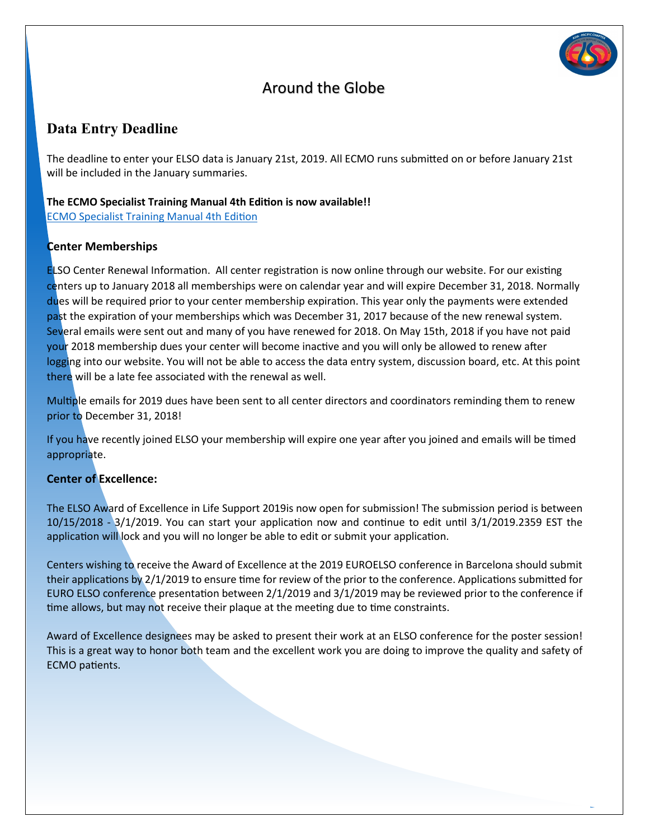

### Around the Globe

### **Data Entry Deadline**

The deadline to enter your ELSO data is January 21st, 2019. All ECMO runs submited on or before January 21st will be included in the January summaries.

#### **The ECMO Specialist Training Manual 4th Edi�on is now available!!**

**ECMO Specialist Training Manual 4th Edition** 

#### **Center Memberships**

**ELSO Center Renewal Information. All center registration is now online through our website. For our existing** centers up to January 2018 all memberships were on calendar year and will expire December 31, 2018. Normally dues will be required prior to your center membership expiration. This year only the payments were extended past the expiration of your memberships which was December 31, 2017 because of the new renewal system. Several emails were sent out and many of you have renewed for 2018. On May 15th, 2018 if you have not paid your 2018 membership dues your center will become inactive and you will only be allowed to renew after logging into our website. You will not be able to access the data entry system, discussion board, etc. At this point there will be a late fee associated with the renewal as well.

Multiple emails for 2019 dues have been sent to all center directors and coordinators reminding them to renew prior to December 31, 2018!

If you have recently joined ELSO your membership will expire one year after you joined and emails will be timed appropriate.

#### **Center of Excellence:**

The ELSO Award of Excellence in Life Support 2019is now open for submission! The submission period is between  $10/15/2018$  -  $3/1/2019$ . You can start your application now and continue to edit until  $3/1/2019.2359$  EST the application will lock and you will no longer be able to edit or submit your application.

Centers wishing to receive the Award of Excellence at the 2019 EUROELSO conference in Barcelona should submit their applications by  $2/1/2019$  to ensure time for review of the prior to the conference. Applications submitted for EURO ELSO conference presentation between 2/1/2019 and 3/1/2019 may be reviewed prior to the conference if time allows, but may not receive their plaque at the meeting due to time constraints.

Award of Excellence designees may be asked to present their work at an ELSO conference for the poster session! This is a great way to honor both team and the excellent work you are doing to improve the quality and safety of ECMO patients.